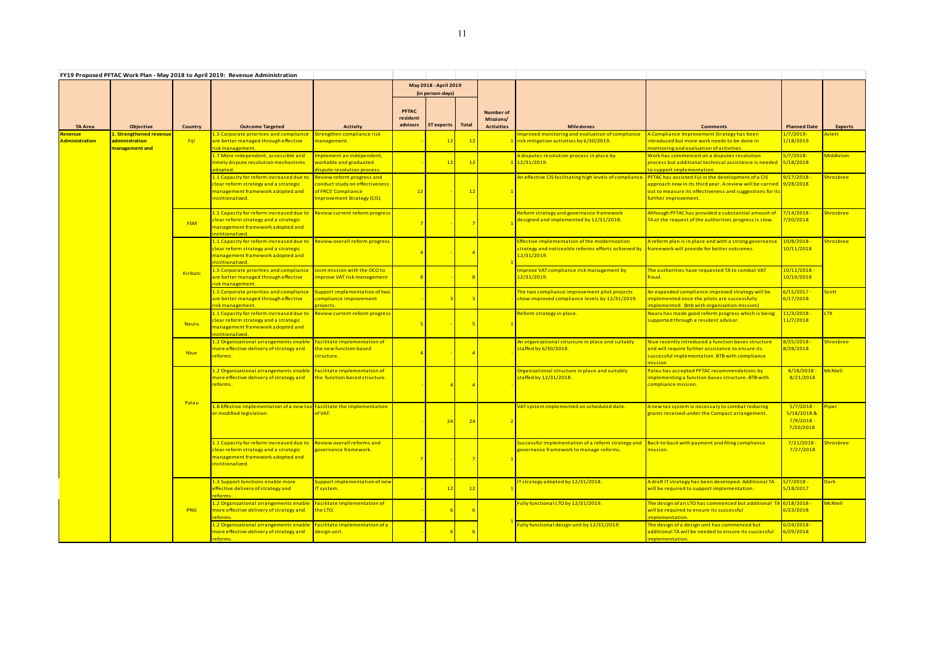|                                  |                                                             |                | FY19 Proposed PFTAC Work Plan - May 2018 to April 2019: Revenue Administration                                                           |                                                                                                                                  |                                      |                                           |                |                                                    |                                                                                                                                                                              |                                                                                                                                                                                                               |                                                  |                  |
|----------------------------------|-------------------------------------------------------------|----------------|------------------------------------------------------------------------------------------------------------------------------------------|----------------------------------------------------------------------------------------------------------------------------------|--------------------------------------|-------------------------------------------|----------------|----------------------------------------------------|------------------------------------------------------------------------------------------------------------------------------------------------------------------------------|---------------------------------------------------------------------------------------------------------------------------------------------------------------------------------------------------------------|--------------------------------------------------|------------------|
|                                  |                                                             |                |                                                                                                                                          |                                                                                                                                  |                                      | May 2018 - April 2019<br>(in person-days) |                |                                                    |                                                                                                                                                                              |                                                                                                                                                                                                               |                                                  |                  |
| <b>TA Area</b>                   | Objective                                                   | <b>Country</b> | <b>Outcome Targeted</b>                                                                                                                  | <b>Activity</b>                                                                                                                  | <b>PFTAC</b><br>resident<br>advisors | <b>ST</b> experts                         | <b>Total</b>   | <b>Number of</b><br>Missions/<br><b>Activities</b> | <b>Milestones</b>                                                                                                                                                            | <b>Comments</b>                                                                                                                                                                                               | <b>Planned Date</b>                              | Experts          |
| Revenue<br><b>Administration</b> | 1. Strengthened revenue<br>administration<br>management and | - Fiji         | 1.5 Corporate priorities and compliance<br>are better managed through effective<br>isk management.                                       | Strengthen compliance risk<br>management.                                                                                        |                                      |                                           | 12             |                                                    | mproved monitoring and evaluation of compliance<br>1 risk mitigation activities by 6/30/2019.                                                                                | A Compliance Improvement Strategy has been<br>introduced but more work needs to be done in<br>nonitoring and evaluation of activities.                                                                        | <mark>1/7/2019-</mark><br>1/18/2019              | <b>slett</b>     |
|                                  |                                                             |                | 1.7 More independent, accessible and<br>timely dispute resolution mechanisms<br>dopted.                                                  | Implement an independent,<br>workable and graduated<br>dispute resolution process.                                               |                                      | 12                                        | 12             |                                                    | A disputes resolution process in place by<br>1 12/31/2019.                                                                                                                   | Work has commenced on a disputes resolution<br>process but additional technical assistance is needed 5/18/2018<br>to support implementation.                                                                  | 5/7/2018-                                        | Middleton        |
|                                  |                                                             |                | 1.1 Capacity for reform increased due to<br>clear reform strategy and a strategic<br>management framework adopted and<br>nstitionalized. | <b>Review reform progress and</b><br>conduct study on effectiveness<br>of FRCS' Compliance<br><b>Improvement Strategy (CIS).</b> | 12                                   |                                           | 12             |                                                    | An effective CIS facilitating high levels of compliance.                                                                                                                     | PFTAC has assisted Fiji in the development of a CIS<br>approach now in its third year. A review will be carried 9/28/2018<br>out to measure its effectiveness and suggestions for it:<br>further improvement. | 9/17/2018                                        | Shrosbree        |
|                                  |                                                             | <b>FSM</b>     | 1.1 Capacity for reform increased due to<br>clear reform strategy and a strategic<br>management framework adopted and<br>nstitionalized. | <b>Review current reform progress</b>                                                                                            |                                      |                                           | $\overline{7}$ |                                                    | Reform strategy and governance framework<br>lesigned and implemented by 12/31/2018.                                                                                          | Although PFTAC has provided a substantial amount of<br>TA at the request of the authorities progress is slow.                                                                                                 | 7/14/2018 ·<br>7/20/2018                         | Shrosbree        |
|                                  |                                                             | Kiribati       | 1.1 Capacity for reform increased due to<br>clear reform strategy and a strategic<br>management framework adopted and<br>nstitionalized. | Review overall reform progress.                                                                                                  |                                      |                                           |                |                                                    | <b>ffective implementation of the modernization</b><br>strategy and noticeable reforms efforts achieved by framework will provide for better outcomes.<br><u>12/31/2019.</u> | A reform plan is in place and with a strong governance                                                                                                                                                        | $10/8/2018 -$<br>10/11/2018                      | Shrosbree        |
|                                  |                                                             |                | 1.5 Corporate priorities and compliance<br>are better managed through effective<br>risk management.                                      | Joint mission with the OCO to<br>improve VAT risk management                                                                     |                                      |                                           | 8              |                                                    | mprove VAT compliance risk management by<br><u>12/31/2019.</u>                                                                                                               | The authorities have requested TA to combat VAT<br>fraud.                                                                                                                                                     | <mark>10/12/2018 -</mark><br>10/19/2018          |                  |
|                                  |                                                             |                | 1.5 Corporate priorities and compliance<br>are better managed through effective<br>isk management.                                       | Support implementation of two<br>compliance improvement<br>projects.                                                             |                                      |                                           | $\overline{3}$ |                                                    | The two compliance improvement pilot projects<br>how improved compliance levels by 12/31/2019.                                                                               | An expanded compliance improved strategy will be<br>implemented once the pilots are successfully<br>mplemented. (btb with organization mission)                                                               | <mark>6/15/2017 -</mark><br>6/17/2018            | <b>Scott</b>     |
|                                  |                                                             | Nauru          | 1.1 Capacity for reform increased due to<br>lear reform strategy and a strategic<br>management framework adopted and<br>nstitionalized.  | Review current reform progress                                                                                                   |                                      |                                           | 5 <sub>1</sub> |                                                    | Reform strategy in place.                                                                                                                                                    | Nauru has made good reform progress which is being<br>supported through a resident advisor.                                                                                                                   | 11/3/2018<br>11/7/2018                           | <b>LTX</b>       |
|                                  |                                                             | <b>Niue</b>    | 1.2 Organizational arrangements enable<br>nore effective delivery of strategy and<br>reforms.                                            | Facilitate implementation of<br>the new function based<br>structure.                                                             |                                      |                                           | $\overline{4}$ |                                                    | An organizational structure in place and suitably<br>taffed by 6/30/2018.                                                                                                    | Niue recently introduced a function bases structure<br>and will require further assistance to ensure its<br>successful implementation. BTB with compliance<br>mission l                                       | 8/25/2018 ·<br>8/28/2018                         | <b>Shrosbree</b> |
|                                  |                                                             |                | 1.2 Organizational arrangements enable<br>more effective delivery of strategy and<br>eforms.                                             | <b>Facilitate implementation of</b><br>the function based structure.                                                             |                                      |                                           | $\overline{4}$ |                                                    | Organizational structure in place and suitably<br>taffed by 12/31/2018.                                                                                                      | Palau has accepted PFTAC recommendations by<br>implementing a function bases structure. BTB with<br>compliance mission.                                                                                       | 8/18/2018<br>8/21/2018                           | <b>McNlell</b>   |
|                                  |                                                             | Palau          | .8 Effective implementation of a new tax Facilitate the implementation<br>or modified legislation.                                       | of VAT.                                                                                                                          |                                      |                                           | 24             |                                                    | /AT system implemented on scheduled date.                                                                                                                                    | Anew tax system is necessary to combat reducing<br>grants received under the Compact arrangement.                                                                                                             | 5/7/2018<br>5/18/2018 &<br>7/9/2018<br>7/20/2018 | Piper            |
|                                  |                                                             |                | 1.1 Capacity for reform increased due to<br>clear reform strategy and a strategic<br>management framework adopted and<br>nstitionalized. | <b>Review overall reforms and</b><br>governance framework.                                                                       |                                      |                                           | 7              |                                                    | Guccessful implementation of a reform strategy and<br>governance framework to manage reforms.                                                                                | Back-to-back with payment and filing compliance<br>mission.                                                                                                                                                   | 7/21/2018<br>7/27/2018                           | Shrosbree        |
|                                  |                                                             |                | 1.3 Support functions enable more<br>effective delivery of strategy and<br>reforms.                                                      | Support implementation of new<br>IT system.                                                                                      |                                      |                                           | 12             |                                                    | Tstrategy adopted by 12/31/2018.                                                                                                                                             | A draft IT strategy has been developed. Additional TA<br>will be required to support implementation.                                                                                                          | $5/7/2018 -$<br>5/18/2017                        | <b>Dark</b>      |
|                                  |                                                             | <b>PNG</b>     | 1.2 Organizational arrangements enable<br>more effective delivery of strategy and<br>reforms.                                            | <b>Facilitate implementation of</b><br>the LTO.                                                                                  |                                      |                                           | -6             |                                                    | ully functional LTO by 12/31/2019.                                                                                                                                           | The design of an LTO has commenced but additional TA $\big\vert$ 6/18/2018 -<br>will be required to ensure its successful<br>implementation.                                                                  | 6/23/2018                                        | <b>McNiell</b>   |
|                                  |                                                             |                | 1.2 Organizational arrangements enable<br>nore effective delivery of strategy and<br>eforms.                                             | Facilitate implementation of a<br>design unit.                                                                                   |                                      |                                           | -6             |                                                    | Fully functional design unit by 12/31/2019.                                                                                                                                  | The design of a design unit has commenced but<br>additional TA will be needed to ensure its successful<br>mplementation.                                                                                      | 5/24/2018 -<br>5/29/2018                         |                  |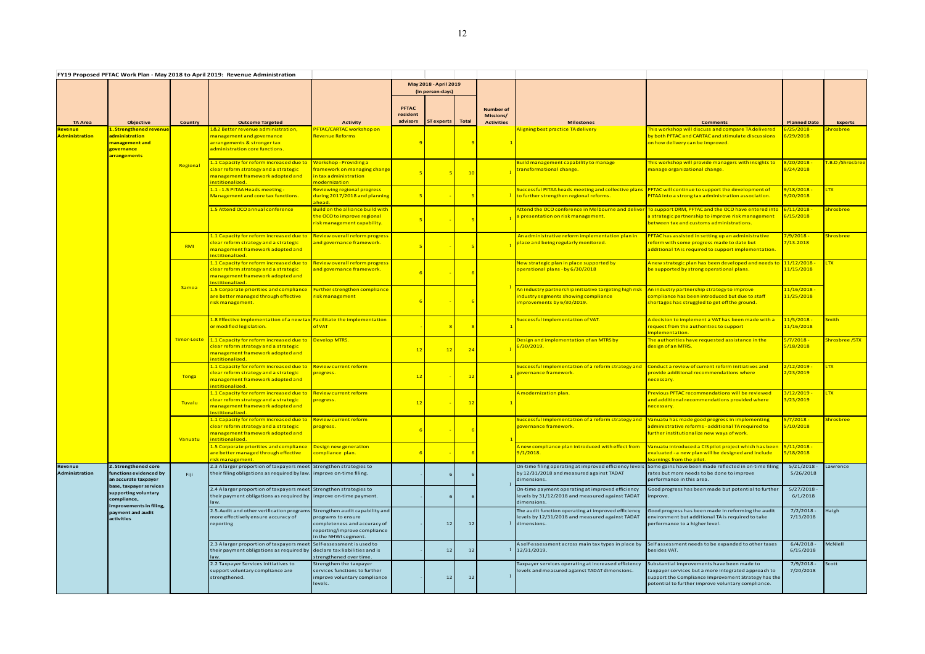|                                    |                                                                                                                     |             | FY19 Proposed PFTAC Work Plan - May 2018 to April 2019: Revenue Administration                                                                  |                                                                                                                                               |                                      |                                           |              |                                                           |                                                                                                                            |                                                                                                                                                                                                                |                                       |                   |
|------------------------------------|---------------------------------------------------------------------------------------------------------------------|-------------|-------------------------------------------------------------------------------------------------------------------------------------------------|-----------------------------------------------------------------------------------------------------------------------------------------------|--------------------------------------|-------------------------------------------|--------------|-----------------------------------------------------------|----------------------------------------------------------------------------------------------------------------------------|----------------------------------------------------------------------------------------------------------------------------------------------------------------------------------------------------------------|---------------------------------------|-------------------|
|                                    |                                                                                                                     |             |                                                                                                                                                 |                                                                                                                                               |                                      | May 2018 - April 2019<br>(in person-days) |              |                                                           |                                                                                                                            |                                                                                                                                                                                                                |                                       |                   |
| <b>TA Area</b>                     | Objective                                                                                                           | Country     | <b>Outcome Targeted</b>                                                                                                                         | <b>Activity</b>                                                                                                                               | <b>PFTAC</b><br>resident<br>advisors | ST experts                                | <b>Total</b> | <b>Number</b> of<br><b>Missions/</b><br><b>Activities</b> | <b>Milestones</b>                                                                                                          | <b>Comments</b>                                                                                                                                                                                                | <b>Planned Date</b>                   | <b>Experts</b>    |
| Revenue l<br><b>Administration</b> | L <mark>. Strengthened revenu</mark><br>administration<br><mark>management and</mark><br>governance<br>arrangements |             | <u> &amp;2 Better revenue administration,</u><br>management and governance<br>arrangements & stronger tax<br>administration core functions.     | PFTAC/CARTAC workshop on<br>Revenue Reforms                                                                                                   |                                      |                                           |              |                                                           | Aligning best practice TA delivery                                                                                         | This workshop will discuss and compare TA delivered<br>by both PFTAC and CARTAC and stimulate discussions<br><mark>on how delivery can be improved.</mark>                                                     | $5/25/2018$ -<br>5/29/2018            | hrosbree          |
|                                    |                                                                                                                     | Regional    | .1 Capacity for reform increased due to<br>lear reform strategy and a strategic<br>management framework adopted and<br>nstitionalized.          | <b>Workshop-Providinga</b><br>framework on managing change<br>in tax administration<br>modernization                                          |                                      |                                           | 10           |                                                           | Build management capability to manage<br>transformational change.                                                          | This workshop will provide managers with insights to<br>manage organizational change.                                                                                                                          | 3/20/2018<br>8/24/2018                | T.B.D /Shrosbree  |
|                                    |                                                                                                                     |             | 1.1 - 1.5 PITAA Heads meeting -<br>Management and core tax functions.                                                                           | Reviewing regional progress<br>during 2017/2018 and planning<br>ahead.                                                                        |                                      |                                           |              |                                                           | iuccessful PITAA heads meeting and collective plans<br>to further strengthen regional reforms.                             | PFTAC will continue to support the development of<br>PITAA into a strong tax administration association.                                                                                                       | 9/18/2018 -<br>9/20/2018              | <b>LTX</b>        |
|                                    |                                                                                                                     |             | 1.5 Attend OCO annual conference                                                                                                                | Build on the alliance build with<br>the OCO to improve regional<br>risk management capability.                                                |                                      |                                           |              |                                                           | presentation on risk management.                                                                                           | Attend the OCO conference in Melbourne and deliver To support DRM, PFTAC and the OCO have entered into<br>a strategic partnership to improve risk management<br>between tax and customs administrations.       | $5/11/2018$ .<br>5/15/2018            | Shrosbree         |
|                                    |                                                                                                                     | RMI         | l.1 Capacity for reform increased due to<br>lear reform strategy and a strategic<br>nanagement framework adopted and<br>nstitionalized.         | Review overall reform progress<br>and governance framework.                                                                                   |                                      |                                           |              |                                                           | An administrative reform implementation plan in<br>place and being regularly monitored.                                    | PFTAC has assisted in setting up an administrative<br>reform with some progress made to date but<br>additional TA is required to support implementation.                                                       | <mark>7/9/2018 -</mark><br>7/13.2018  | hrosbree          |
|                                    |                                                                                                                     | Samoa       | 1.1 Capacity for reform increased due to<br>lear reform strategy and a strategic<br>nanagement framework adopted and<br>nstitionalized.         | <b>Review overall reform progress</b><br>and governance framework.                                                                            |                                      |                                           |              |                                                           | New strategic plan in place supported by<br>operational plans - by 6/30/2018                                               | Anew strategic plan has been developed and needs to 11/12/2018<br>be supported by strong operational plans.                                                                                                    | 11/15/2018                            | <b>LTX</b>        |
|                                    |                                                                                                                     |             | 1.5 Corporate priorities and compliance<br>are better managed through effective<br>isk management.                                              | Further strengthen compliance<br>risk management                                                                                              |                                      |                                           |              |                                                           | An industry partnership initiative targeting high risk<br>ndustry segments showing compliance<br>mprovements by 6/30/2019. | An industry partnership strategy to improve<br>compliance has been introduced but due to staff<br>shortages has struggled to get off the ground.                                                               | 11/16/2018 -<br>11/25/2018            |                   |
|                                    |                                                                                                                     |             | 1.8 Effective implementation of a new tax Facilitate the implementation<br>or modified legislation.                                             | of VAT                                                                                                                                        |                                      |                                           |              |                                                           | iuccessful implementation of VAT.                                                                                          | A decision to implement a VAT has been made with a<br>request from the authorities to support<br>mplementation.                                                                                                | 11/5/2018 -<br>11/16/2018             | <mark>mith</mark> |
|                                    |                                                                                                                     | Timor-Leste | 1.1 Capacity for reform increased due to<br>lear reform strategy and a strategic<br>management framework adopted and<br>nstitionalized.         | <b>Develop MTRS.</b>                                                                                                                          | 12                                   | 12                                        | 24           |                                                           | Design and implementation of an MTRS by<br>6/30/2019.                                                                      | The authorities have requested assistance in the<br>design of an MTRS.                                                                                                                                         | 5/7/2018 -<br>5/18/2018               | Shrosbree /STX    |
|                                    |                                                                                                                     | Tonga       | 1.1 Capacity for reform increased due to<br>lear reform strategy and a strategic<br>nanagement framework adopted and<br>nstitionalized.         | <b>Review current reform</b><br>progress.                                                                                                     | 12                                   |                                           | 12           |                                                           | iuccessful implementation of a reform strategy and<br>governance framework.                                                | Conduct a review of current reform initiatives and<br>provide additional recommendations where<br>necessary.                                                                                                   | <mark>2/12/2019 -</mark><br>2/23/2019 | <b>LTX</b>        |
|                                    |                                                                                                                     | Tuvalu      | 1.1 Capacity for reform increased due to<br>lear reform strategy and a strategic<br>nanagement framework adopted and<br>nstitionalized.         | <b>Review current reform</b><br>progress.                                                                                                     | 12                                   |                                           | 12           |                                                           | <mark>A modernization plan.</mark>                                                                                         | Previous PFTAC recommendations will be reviewed<br>and additional recommendations provided where<br>necessary.                                                                                                 | <mark>3/12/2019</mark> ·<br>3/23/2019 | <b>LTX</b>        |
|                                    |                                                                                                                     | Vanuatu     | 1.1 Capacity for reform increased due to<br>lear reform strategy and a strategic<br>nanagement framework adopted and<br>nstitionalized.         | <b>Review current reform</b><br>progress.                                                                                                     |                                      |                                           |              |                                                           | iuccessful implementation of a reform strategy and Nanuatu has made good progress in implementing<br>overnance framework.  | administrative reforms - additional TA required to<br>further institutionalize new ways of work.                                                                                                               | 5/7/2018 -<br>5/10/2018               | <u>Shrosbree</u>  |
|                                    |                                                                                                                     |             | 1.5 Corporate priorities and compliance<br>are better managed through effective<br>isk management.                                              | Design new generation<br>compliance plan.                                                                                                     |                                      |                                           |              |                                                           | Anew compliance plan introduced with effect from<br>9/1/2018.                                                              | Vanuatu introduced a CIS pilot project which has been<br>evaluated - a new plan will be designed and include<br>learnings from the pilot.                                                                      | $5/11/2018 -$<br>5/18/2018            |                   |
| Revenue<br>Administration          | 2. Strengthened core<br>functions evidenced by<br>an accurate taxpayer                                              | Fiji        | 2.3 A larger proportion of taxpayers meet Strengthen strategies to<br>their filing obligations as required by law. improve on-time filing.      |                                                                                                                                               |                                      |                                           | -6           |                                                           | by 12/31/2018 and measured against TADAT<br>dimensions.                                                                    | On-time filing operating at improved efficiency levels Some gains have been made reflected in on-time filing<br>rates but more needs to be done to improve<br>performance in this area.                        | 5/21/2018<br>5/26/2018                | awrence           |
|                                    | base, taxpayer services<br>supporting voluntary<br>compliance,<br>improvements in filing,                           |             | 2.4 A larger proportion of taxpayers meet Strengthen strategies to<br>their payment obligations as required by improve on-time payment.<br>law. |                                                                                                                                               |                                      |                                           | -6           |                                                           | On-time payment operating at improved efficiency<br>levels by 31/12/2018 and measured against TADAT<br>dimensions.         | Good progress has been made but potential to further<br>improve.                                                                                                                                               | $5/27/2018 -$<br>6/1/2018             |                   |
|                                    | payment and audit<br>activities                                                                                     |             | 2.5. Audit and other verification program<br>more effectively ensure accuracy of<br>reporting                                                   | Strengthen audit capability and<br>programs to ensure<br>completeness and accuracy of<br>reporting/improve compliance<br>in the NHWI segment. |                                      | 12                                        | 12           |                                                           | The audit function operating at improved efficiency<br>levels by 12/31/2018 and measured against TADAT<br>1 dimensions.    | Good progress has been made in reforming the audit<br>environment but additional TA is required to take<br>performance to a higher level.                                                                      | $7/2/2018 -$<br>7/13/2018             | Haigh             |
|                                    |                                                                                                                     |             | 2.3 Alarger proportion of taxpayers meet<br>their payment obligations as required by declare tax liabilities and is<br>law.                     | Self-assessment is used to<br>strengthened over time.                                                                                         |                                      | 12                                        | 12           |                                                           | A self-assessment across main tax types in place by<br>$1 \mid 12/31/2019.$                                                | Selfassessment needs to be expanded to other taxes<br>besides VAT.                                                                                                                                             | 6/4/2018<br>6/15/2018                 | <b>McNIell</b>    |
|                                    |                                                                                                                     |             | 2.2 Taxpayer Services initiatives to<br>support voluntary compliance are<br>strengthened.                                                       | Strengthen the taxpayer<br>services functions to further<br>improve voluntary compliance<br>levels.                                           |                                      |                                           | $12$         |                                                           | Taxpayer services operating at increased efficiency<br>levels and measured against TADAT dimensions.                       | Substantial improvements have been made to<br>taxpayer services but a more integrated approach to<br>support the Compliance Improvement Strategy has the<br>potential to further improve voluntary compliance. | $7/9/2018 -$<br>7/20/2018             | Scott             |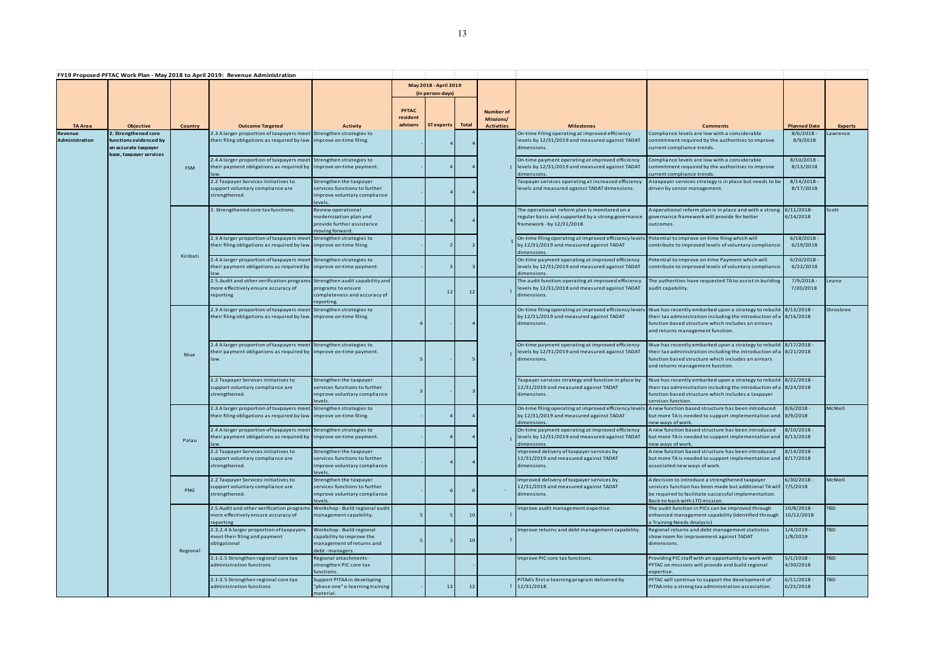|                           |                                                                        |            | FY19 Proposed PFTAC Work Plan - May 2018 to April 2019: Revenue Administration                                                                                                                                              |                                                                                                         |                                      |                                           |                 |                                                    |                                                                                                                                                                                                                            |                                                                                                                                                                                                                                   |                                                  |                |
|---------------------------|------------------------------------------------------------------------|------------|-----------------------------------------------------------------------------------------------------------------------------------------------------------------------------------------------------------------------------|---------------------------------------------------------------------------------------------------------|--------------------------------------|-------------------------------------------|-----------------|----------------------------------------------------|----------------------------------------------------------------------------------------------------------------------------------------------------------------------------------------------------------------------------|-----------------------------------------------------------------------------------------------------------------------------------------------------------------------------------------------------------------------------------|--------------------------------------------------|----------------|
|                           |                                                                        |            |                                                                                                                                                                                                                             |                                                                                                         |                                      | May 2018 - April 2019<br>(in person-days) |                 |                                                    |                                                                                                                                                                                                                            |                                                                                                                                                                                                                                   |                                                  |                |
| <b>TA Area</b>            | <b>Objective</b>                                                       | Country    | <b>Outcome Targeted</b>                                                                                                                                                                                                     | <b>Activity</b>                                                                                         | <b>PFTAC</b><br>resident<br>advisors | <b>ST experts</b>                         | <b>Total</b>    | <b>Number of</b><br>Missions/<br><b>Activities</b> | <b>Milestones</b>                                                                                                                                                                                                          | <b>Comments</b>                                                                                                                                                                                                                   | <b>Planned Date</b>                              | <b>Experts</b> |
| Revenue<br>Administration | 2. Strengthened core<br>functions evidenced by<br>an accurate taxpayer |            | 2.3 A larger proportion of taxpayers meet Strengthen strategies to<br>their filing obligations as required by law. improve on-time filing.                                                                                  |                                                                                                         |                                      |                                           |                 |                                                    | On-time Filing operating at improved efficiency<br>levels by 12/31/2019 and measured against TADAT<br>dimensions.                                                                                                          | Compliance levels are low with a considerable<br>commitment required by the authorities to improve<br>current compliance trends.                                                                                                  | 8/6/2018<br>8/9/2018                             | Lawrence       |
|                           | base. taxpaver services                                                | <b>FSM</b> | 2.4 A larger proportion of taxpayers meet Strengthen strategies to<br>their payment obligations as required by improve on-time payment.<br>law.<br>2.2 Taxpayer Services initiatives to<br>support voluntary compliance are | Strengthen the taxpayer<br>services functions to further                                                |                                      |                                           |                 |                                                    | On-time payment operating at improved efficiency<br>levels by 12/31/2019 and measured against TADAT<br>dimensions.<br>Taxpayer services operating at increased efficiency<br>levels and measured against TADAT dimensions. | Compliance levels are low with a considerable<br>commitment required by the authorities to improve<br>current compliance trends.<br>A taxpayer services strategy is in place but needs to be<br>driven by senior management.      | 8/10/2018<br>8/13/2018<br>8/14/2018<br>8/17/2018 |                |
|                           |                                                                        |            | strengthened.                                                                                                                                                                                                               | improve voluntary compliance<br>levels.                                                                 |                                      |                                           | 4               |                                                    |                                                                                                                                                                                                                            |                                                                                                                                                                                                                                   |                                                  |                |
|                           |                                                                        |            | 2. Strengthened core tax functions.                                                                                                                                                                                         | Review operational<br>modernization plan and<br>provide further assistance<br>moving forward.           |                                      |                                           | 4               |                                                    | The operational reform plan is monitored on a<br>regular basis and supported by a strong governance<br>framework - by 12/31/2018.                                                                                          | A operational reform plan is in place and with a strong<br>governance framework will provide for better<br>outcomes.                                                                                                              | 6/11/2018<br>6/14/2018                           | Scott          |
|                           |                                                                        |            | 2.3 A larger proportion of taxpayers meet Strengthen strategies to<br>their filing obligations as required by law.                                                                                                          | improve on-time filing.                                                                                 |                                      |                                           | $\overline{2}$  |                                                    | On-time filing operating at improved efficiency levels Potential to improve on-time filing which will<br>by 12/31/2019 and measured against TADAT<br>dimensions.                                                           | contribute to improved levels of voluntary compliance.                                                                                                                                                                            | 6/18/2018<br>6/19/2018                           |                |
|                           |                                                                        | Kiribati   | 2.4 A larger proportion of taxpayers meet Strengthen strategies to<br>their payment obligations as required by improve on-time payment.<br>law                                                                              |                                                                                                         |                                      |                                           | 3               |                                                    | On-time payment operating at improved efficiency<br>levels by 12/31/2019 and measured against TADAT<br>dimensions.                                                                                                         | Potential to improve on-time Payment which will<br>contribute to improved levels of voluntary compliance.                                                                                                                         | 6/20/2018<br>6/22/2018                           |                |
|                           |                                                                        |            | 2.5. Audit and other verification programs<br>more effectively ensure accuracy of<br>reporting                                                                                                                              | Strengthen audit capability and<br>programs to ensure<br>completeness and accuracy of<br>reporting      |                                      | 12                                        | 12              |                                                    | The audit function operating at improved efficiency<br>levels by 12/31/2018 and measured against TADAT<br>dimensions.                                                                                                      | The authorities have requested TA to assist in building<br>audit capability.                                                                                                                                                      | $7/9/2018 -$<br>7/20/2018                        | Leano          |
|                           |                                                                        | Niue       | 2.3 A larger proportion of taxpayers meet<br>their filing obligations as required by law.                                                                                                                                   | Strengthen strategies to<br>improve on-time filing.                                                     |                                      |                                           | $\overline{4}$  |                                                    | On-time filing operating at improved efficiency levels<br>by 12/31/2019 and measured against TADAT<br>dimensions.                                                                                                          | Niue has recently embarked upon a strategy to rebuild 8/13/2018<br>their tax administration including the introduction of a $8/16/2018$<br>function based structure which includes an arrears<br>and returns management function. |                                                  | Shrosbree      |
|                           |                                                                        |            | 2.4 A larger proportion of taxpayers meet Strengthen strategies to<br>their payment obligations as required by improve on-time payment.<br>law.                                                                             |                                                                                                         | 5                                    |                                           | 5               |                                                    | On-time payment operating at improved efficiency<br>levels by 12/31/2019 and measured against TADAT<br>dimensions.                                                                                                         | Niue has recently embarked upon a strategy to rebuild 8/17/2018 -<br>their tax administration including the introduction of a 8/21/2018<br>function based structure which includes an arrears<br>and returns management function. |                                                  |                |
|                           |                                                                        |            | 2.2 Taxpayer Services initiatives to<br>support voluntary compliance are<br>strengthened.                                                                                                                                   | Strengthen the taxpayer<br>services functions to further<br>improve voluntary compliance<br>levels.     | 3                                    |                                           |                 |                                                    | Taxpayer services strategy and function in place by<br>12/31/2019 and measured against TADAT<br>dimensions.                                                                                                                | Niue has recently embarked upon a strategy to rebuild 8/22/2018 -<br>their tax administration including the introduction of a $8/24/2018$<br>function based structure which includes a taxpayer<br>services function.             |                                                  |                |
|                           |                                                                        |            | 2.3 A larger proportion of taxpayers meet Strengthen strategies to<br>their filing obligations as required by law. improve on-time filing.                                                                                  |                                                                                                         |                                      |                                           |                 |                                                    | by 12/31/2019 and measured against TADAT<br>dimensions.                                                                                                                                                                    | On-time filing operating at improved efficiency levels Anew function based structure has been introduced<br>but more TA is needed to support implementation and<br>new ways of work.                                              | 8/6/2018<br>8/9/2018                             | <b>McNlell</b> |
|                           |                                                                        | Palau      | 2.4 A larger proportion of taxpayers meet Strengthen strategies to<br>their payment obligations as required by                                                                                                              | improve on-time payment.                                                                                |                                      |                                           | $\overline{a}$  |                                                    | On-time payment operating at improved efficiency<br>evels by 12/31/2019 and measured against TADAT<br>dimensions.                                                                                                          | A new function based structure has been introduced<br>but more TA is needed to support implementation and 8/13/2018<br>new ways of work.                                                                                          | $3/10/2018 -$                                    |                |
|                           |                                                                        |            | 2.2 Taxpayer Services initiatives to<br>support voluntary compliance are<br>strengthened.                                                                                                                                   | Strengthen the taxpayer<br>services functions to further<br>improve voluntary compliance<br>levels.     |                                      |                                           | $\overline{4}$  |                                                    | Improved delivery of taxpayer services by<br>12/31/2019 and measured against TADAT<br>dimensions.                                                                                                                          | A new function based structure has been introduced<br>but more TA is needed to support implementation and 8/17/2018<br>associated new ways of work.                                                                               | $8/14/2018 -$                                    |                |
|                           |                                                                        | <b>PNG</b> | 2.2 Taxpayer Services initiatives to<br>support voluntary compliance are<br>strengthened.                                                                                                                                   | Strengthen the taxpayer<br>services functions to further<br>improve voluntary compliance<br>levels.     |                                      |                                           |                 |                                                    | Improved delivery of taxpayer services by<br>12/31/2019 and measured against TADAT<br>dimensions.                                                                                                                          | A decision to introduce a strengthened taxpayer<br>services function has been made but additional TA will 7/5/2018<br>be required to facilitate successful implementation.<br>Back-to-back with LTO mission.                      | 6/30/2018                                        | <b>McNIell</b> |
|                           |                                                                        |            | 2.5 Audit and other verification program<br>more effectively ensure accuracy of<br>reporting                                                                                                                                | Workshop - Build regional audit<br>management capability.                                               | - 5                                  |                                           | 10 <sup>1</sup> |                                                    | Improve audit management expertise.                                                                                                                                                                                        | The audit function in PICs can be improved through<br>enhanced management capability (identified through<br>a Training Needs Analysis)                                                                                            | 10/8/2018<br>10/12/2018                          | <b>TBD</b>     |
|                           |                                                                        | Regional   | 2.3,2.4 A larger proportion of taxpayers<br>meet their filing and payment<br>obligational                                                                                                                                   | Workshop - Build regional<br>capability to improve the<br>management of returns and<br>debt - managers. | 5                                    |                                           | 10              |                                                    | Improve returns and debt management capability.                                                                                                                                                                            | Regional returns and debt management statistics<br>show room for improvement against TADAT<br>dimensions.                                                                                                                         | $1/4/2019$ -<br>1/8/2019                         | <b>TBD</b>     |
|                           |                                                                        |            | 2.1-2.5 Strengthen regional core tax<br>administration functions                                                                                                                                                            | Regional attachments -<br>strengthen PIC core tax<br>functions.                                         |                                      |                                           |                 |                                                    | Improve PIC core tax functions.                                                                                                                                                                                            | Providing PIC staff with an opportunity to work with<br>PFTAC on missions will provide and build regional<br>expertise.                                                                                                           | $5/1/2018 -$<br>4/30/2018                        | <b>TBD</b>     |
|                           |                                                                        |            | 2.1-2.5 Strengthen regional core tax<br>dministration functions                                                                                                                                                             | Support PITAA in developing<br>"phase one" e-learning training<br>material.                             |                                      | 12                                        | 12              |                                                    | PITAA's first e-learning program delivered by<br>12/31/2018.                                                                                                                                                               | PFTAC will continue to support the development of<br>PITAA into a strong tax administration association.                                                                                                                          | 6/11/2018<br>6/25/2018                           | <b>TBD</b>     |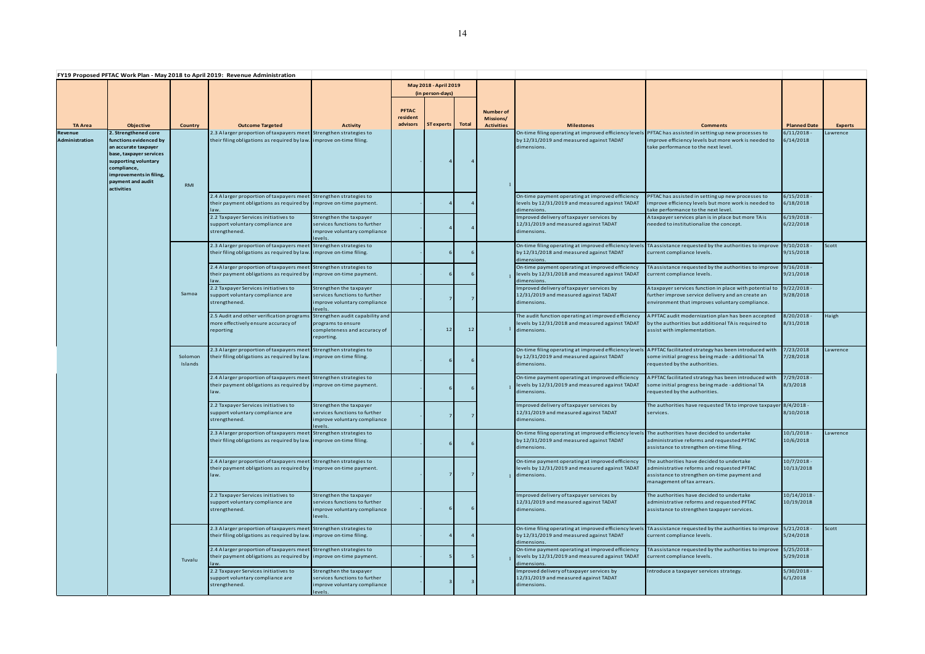|                           |                                                                                                                                                                                                        |                    | FY19 Proposed PFTAC Work Plan - May 2018 to April 2019: Revenue Administration                                                                  |                                                                                                     |                                      |                                           |              |                                                    |                                                                                                                                                                     |                                                                                                                                                                       |                            |                |
|---------------------------|--------------------------------------------------------------------------------------------------------------------------------------------------------------------------------------------------------|--------------------|-------------------------------------------------------------------------------------------------------------------------------------------------|-----------------------------------------------------------------------------------------------------|--------------------------------------|-------------------------------------------|--------------|----------------------------------------------------|---------------------------------------------------------------------------------------------------------------------------------------------------------------------|-----------------------------------------------------------------------------------------------------------------------------------------------------------------------|----------------------------|----------------|
|                           |                                                                                                                                                                                                        |                    |                                                                                                                                                 |                                                                                                     |                                      | May 2018 - April 2019<br>(in person-days) |              |                                                    |                                                                                                                                                                     |                                                                                                                                                                       |                            |                |
| <b>TA Area</b>            | Objective                                                                                                                                                                                              | <b>Country</b>     | <b>Outcome Targeted</b>                                                                                                                         | <b>Activity</b>                                                                                     | <b>PFTAC</b><br>resident<br>advisors | ST experts                                | <b>Total</b> | <b>Number of</b><br>Missions/<br><b>Activities</b> | <b>Milestones</b>                                                                                                                                                   | <b>Comments</b>                                                                                                                                                       | <b>Planned Date</b>        | <b>Experts</b> |
| Revenue<br>Administration | 2. Strengthened core<br>functions evidenced by<br>an accurate taxpayer<br>base, taxpayer services<br>supporting voluntary<br>compliance,<br>improvements in filing,<br>payment and audit<br>activities | RMI                | 2.3 A larger proportion of taxpayers meet Strengthen strategies to<br>their filing obligations as required by law. improve on-time filing.      |                                                                                                     |                                      |                                           |              |                                                    | On-time filing operating at improved efficiency levels PFTAC has assisted in setting up new processes to<br>by 12/31/2019 and measured against TADAT<br>dimensions. | improve efficiency levels but more work is needed to<br>take performance to the next level.                                                                           | $6/11/2018 -$<br>6/14/2018 | awrence        |
|                           |                                                                                                                                                                                                        |                    | 2.4 Alarger proportion of taxpayers meet Strengthen strategies to<br>their payment obligations as required by improve on-time payment.<br>law.  |                                                                                                     |                                      |                                           |              |                                                    | On-time payment operating at improved efficiency<br>levels by 12/31/2019 and measured against TADAT<br>dimensions.                                                  | PFTAC has assisted in setting up new processes to<br>improve efficiency levels but more work is needed to<br>take performance to the next level.                      | 6/15/2018 -<br>6/18/2018   |                |
|                           |                                                                                                                                                                                                        |                    | 2.2 Taxpayer Services initiatives to<br>support voluntary compliance are<br>strengthened.                                                       | Strengthen the taxpayer<br>services functions to further<br>improve voluntary compliance<br>levels. |                                      |                                           |              |                                                    | Improved delivery of taxpayer services by<br>12/31/2019 and measured against TADAT<br>dimensions.                                                                   | A taxpayer services plan is in place but more TA is<br>needed to institutionalize the concept.                                                                        | $6/19/2018 -$<br>6/22/2018 |                |
|                           |                                                                                                                                                                                                        |                    | 2.3 Alarger proportion of taxpayers meet Strengthen strategies to<br>their filing obligations as required by law. improve on-time filing.       |                                                                                                     |                                      |                                           | -6           |                                                    | by 12/31/2018 and measured against TADAT<br>dimensions.                                                                                                             | On-time filing operating at improved efficiency levels TA assistance requested by the authorities to improve 9/10/2018 -<br>current compliance levels.                | 9/15/2018                  | Scott          |
|                           |                                                                                                                                                                                                        |                    | 2.4 A larger proportion of taxpayers meet Strengthen strategies to<br>their payment obligations as required by improve on-time payment.         |                                                                                                     |                                      |                                           |              |                                                    | On-time payment operating at improved efficiency<br>levels by 12/31/2018 and measured against TADAT<br>dimensions.                                                  | TA assistance requested by the authorities to improve<br>current compliance levels.                                                                                   | 9/16/2018 -<br>9/21/2018   |                |
|                           |                                                                                                                                                                                                        | Samoa              | 2.2 Taxpayer Services initiatives to<br>support voluntary compliance are<br>strengthened.                                                       | Strengthen the taxpayer<br>services functions to further<br>improve voluntary compliance<br>levels. |                                      |                                           |              |                                                    | Improved delivery of taxpayer services by<br>12/31/2019 and measured against TADAT<br>dimensions.                                                                   | A taxpayer services function in place with potential to<br>further improve service delivery and an create an<br>environment that improves voluntary compliance.       | $9/22/2018 -$<br>9/28/2018 |                |
|                           |                                                                                                                                                                                                        |                    | 2.5 Audit and other verification program:<br>more effectively ensure accuracy of<br>reporting                                                   | Strengthen audit capability and<br>programs to ensure<br>completeness and accuracy of<br>reporting. |                                      | 12                                        | 12           |                                                    | The audit function operating at improved efficiency<br>levels by 12/31/2018 and measured against TADAT<br><sup>1</sup> dimensions.                                  | A PFTAC audit modernization plan has been accepted<br>by the authorities but additional TA is required to<br>assist with implementation.                              | 8/20/2018 -<br>8/31/2018   | Haigh          |
|                           |                                                                                                                                                                                                        | Solomon<br>Islands | 2.3 A larger proportion of taxpayers meet Strengthen strategies to<br>their filing obligations as required by law. improve on-time filing.      |                                                                                                     |                                      |                                           |              |                                                    | On-time filing operating at improved efficiency levels<br>by 12/31/2019 and measured against TADAT<br>dimensions.                                                   | A PFTAC facilitated strategy has been introduced with<br>some initial progress being made - additional TA<br>requested by the authorities.                            | 7/23/2018<br>7/28/2018     | Lawrence       |
|                           |                                                                                                                                                                                                        |                    | 2.4 Alarger proportion of taxpayers meet Strengthen strategies to<br>their payment obligations as required by limprove on-time payment.<br>law. |                                                                                                     |                                      |                                           |              |                                                    | On-time payment operating at improved efficiency<br>levels by 12/31/2019 and measured against TADAT<br>dimensions.                                                  | A PFTAC facilitated strategy has been introduced with<br>some initial progress being made - additional TA<br>requested by the authorities.                            | 7/29/2018 -<br>8/3/2018    |                |
|                           |                                                                                                                                                                                                        |                    | 2.2 Taxpayer Services initiatives to<br>support voluntary compliance are<br>strengthened.                                                       | Strengthen the taxpayer<br>services functions to further<br>improve voluntary compliance            |                                      |                                           |              |                                                    | Improved delivery of taxpayer services by<br>12/31/2019 and measured against TADAT<br>dimensions.                                                                   | The authorities have requested TA to improve taxpayer<br>services.                                                                                                    | 8/4/2018 -<br>8/10/2018    |                |
|                           |                                                                                                                                                                                                        |                    | 2.3 Alarger proportion of taxpayers meet Strengthen strategies to<br>their filing obligations as required by law. improve on-time filing.       |                                                                                                     |                                      |                                           |              |                                                    | On-time filing operating at improved efficiency levels The authorities have decided to undertake<br>by 12/31/2019 and measured against TADAT<br>dimensions.         | administrative reforms and requested PFTAC<br>assistance to strengthen on-time filing.                                                                                | 10/1/2018-<br>10/6/2018    | awrence        |
|                           |                                                                                                                                                                                                        |                    | 2.4 Alarger proportion of taxpayers meet Strengthen strategies to<br>their payment obligations as required by improve on-time payment.<br>law.  |                                                                                                     |                                      | 7                                         | 7            |                                                    | On-time payment operating at improved efficiency<br>levels by 12/31/2019 and measured against TADAT<br>1 dimensions.                                                | The authorities have decided to undertake<br>administrative reforms and requested PFTAC<br>assistance to strengthen on-time payment and<br>management of tax arrears. | 10/7/2018-<br>10/13/2018   |                |
|                           |                                                                                                                                                                                                        |                    | 2.2 Taxpayer Services initiatives to<br>support voluntary compliance are<br>strengthened.                                                       | Strengthen the taxpayer<br>services functions to further<br>improve voluntary compliance<br>levels. |                                      |                                           |              |                                                    | Improved delivery of taxpayer services by<br>12/31/2019 and measured against TADAT<br>dimensions.                                                                   | The authorities have decided to undertake<br>administrative reforms and requested PFTAC<br>assistance to strengthen taxpayer services.                                | 10/14/2018 -<br>10/19/2018 |                |
|                           |                                                                                                                                                                                                        |                    | 2.3 Alarger proportion of taxpayers meet Strengthen strategies to<br>their filing obligations as required by law. improve on-time filing.       |                                                                                                     |                                      |                                           |              |                                                    | by 12/31/2019 and measured against TADAT<br>dimensions.                                                                                                             | On-time filing operating at improved efficiency levels TA assistance requested by the authorities to improve<br>current compliance levels.                            | 5/21/2018-<br>5/24/2018    | Scott          |
|                           |                                                                                                                                                                                                        | Tuvalu             | 2.4 Alarger proportion of taxpayers meet Strengthen strategies to<br>their payment obligations as required by improve on-time payment.<br>law.  |                                                                                                     |                                      |                                           | -5           |                                                    | On-time payment operating at improved efficiency<br>levels by 12/31/2019 and measured against TADAT<br>dimensions.                                                  | TA assistance requested by the authorities to improve<br>current compliance levels.                                                                                   | 5/25/2018 -<br>5/29/2018   |                |
|                           |                                                                                                                                                                                                        |                    | 2.2 Taxpayer Services initiatives to<br>support voluntary compliance are<br>strengthened.                                                       | Strengthen the taxpayer<br>services functions to further<br>improve voluntary compliance<br>levels. |                                      |                                           |              |                                                    | Improved delivery of taxpayer services by<br>12/31/2019 and measured against TADAT<br>dimensions.                                                                   | Introduce a taxpayer services strategy.                                                                                                                               | 5/30/2018-<br>6/1/2018     |                |